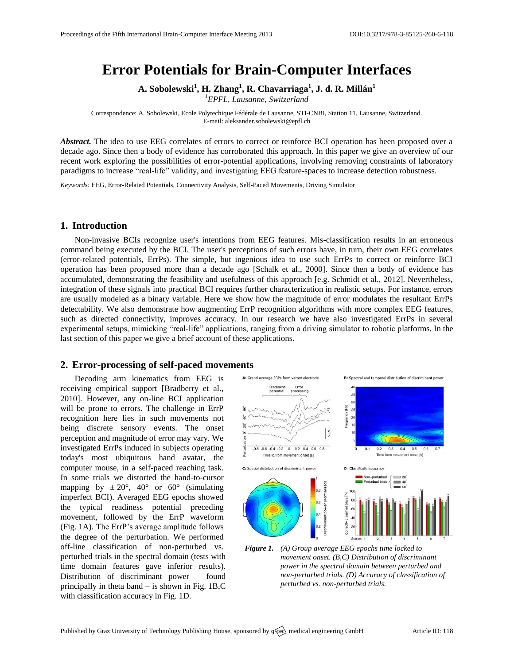# **Error Potentials for Brain-Computer Interfaces**

**A. Sobolewski<sup>1</sup> , H. Zhang<sup>1</sup> , R. Chavarriaga<sup>1</sup> , J. d. R. Millán<sup>1</sup>**

*<sup>1</sup>EPFL, Lausanne, Switzerland*

Correspondence: A. Sobolewski, Ecole Polytechique Fédérale de Lausanne, STI-CNBI, Station 11, Lausanne, Switzerland. E-mail[: aleksander.sobolewski@epfl.ch](mailto:corresponding.author@address.com)

*Abstract.* The idea to use EEG correlates of errors to correct or reinforce BCI operation has been proposed over a decade ago. Since then a body of evidence has corroborated this approach. In this paper we give an overview of our recent work exploring the possibilities of error-potential applications, involving removing constraints of laboratory paradigms to increase "real-life" validity, and investigating EEG feature-spaces to increase detection robustness.

*Keywords:* EEG, Error-Related Potentials, Connectivity Analysis, Self-Paced Movements, Driving Simulator

### **1. Introduction**

Non-invasive BCIs recognize user's intentions from EEG features. Mis-classification results in an erroneous command being executed by the BCI. The user's perceptions of such errors have, in turn, their own EEG correlates (error-related potentials, ErrPs). The simple, but ingenious idea to use such ErrPs to correct or reinforce BCI operation has been proposed more than a decade ago [Schalk et al., 2000]. Since then a body of evidence has accumulated, demonstrating the feasibility and usefulness of this approach [e.g. Schmidt et al., 2012]. Nevertheless, integration of these signals into practical BCI requires further characterization in realistic setups. For instance, errors are usually modeled as a binary variable. Here we show how the magnitude of error modulates the resultant ErrPs detectability. We also demonstrate how augmenting ErrP recognition algorithms with more complex EEG features, such as directed connectivity, improves accuracy. In our research we have also investigated ErrPs in several experimental setups, mimicking "real-life" applications, ranging from a driving simulator to robotic platforms. In the last section of this paper we give a brief account of these applications.

#### **2. Error-processing of self-paced movements**

Decoding arm kinematics from EEG is receiving empirical support [Bradberry et al., 2010]. However, any on-line BCI application will be prone to errors. The challenge in ErrP recognition here lies in such movements not being discrete sensory events. The onset perception and magnitude of error may vary. We investigated ErrPs induced in subjects operating today's most ubiquitous hand avatar, the computer mouse, in a self-paced reaching task. In some trials we distorted the hand-to-cursor mapping by  $\pm 20^{\circ}$ , 40° or 60° (simulating imperfect BCI). Averaged EEG epochs showed the typical readiness potential preceding movement, followed by the ErrP waveform (Fig. 1A). The ErrP's average amplitude follows the degree of the perturbation. We performed off-line classification of non-perturbed vs. perturbed trials in the spectral domain (tests with time domain features gave inferior results). Distribution of discriminant power – found principally in theta band – is shown in Fig. 1B,C with classification accuracy in Fig. 1D.



*Figure 1. (A) Group average EEG epochs time locked to movement onset. (B,C) Distribution of discriminant power in the spectral domain between perturbed and non-perturbed trials. (D) Accuracy of classification of perturbed vs. non-perturbed trials.*